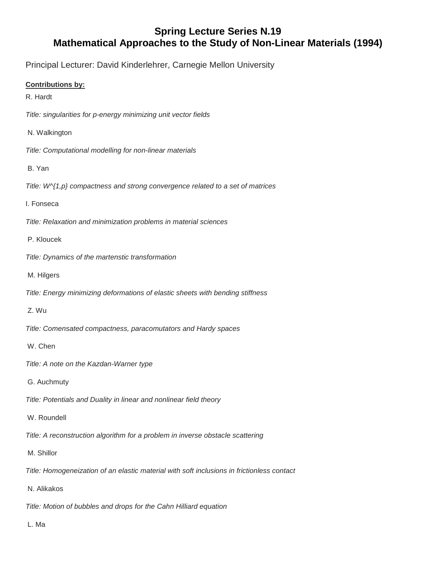## **Spring Lecture Series N.19 Mathematical Approaches to the Study of Non-Linear Materials (1994)**

Principal Lecturer: David Kinderlehrer, Carnegie Mellon University

## **Contributions by:**

R. Hardt

*Title: singularities for p-energy minimizing unit vector fields*

N. Walkington

*Title: Computational modelling for non-linear materials*

- B. Yan
- *Title: W^{1,p} compactness and strong convergence related to a set of matrices*
- I. Fonseca

*Title: Relaxation and minimization problems in material sciences*

- P. Kloucek
- *Title: Dynamics of the martenstic transformation*
- M. Hilgers
- *Title: Energy minimizing deformations of elastic sheets with bending stiffness*
- Z. Wu
- *Title: Comensated compactness, paracomutators and Hardy spaces*
- W. Chen
- *Title: A note on the Kazdan-Warner type*
- G. Auchmuty
- *Title: Potentials and Duality in linear and nonlinear field theory*
- W. Roundell

*Title: A reconstruction algorithm for a problem in inverse obstacle scattering*

- M. Shillor
- *Title: Homogeneization of an elastic material with soft inclusions in frictionless contact*
- N. Alikakos

*Title: Motion of bubbles and drops for the Cahn Hilliard equation*

L. Ma